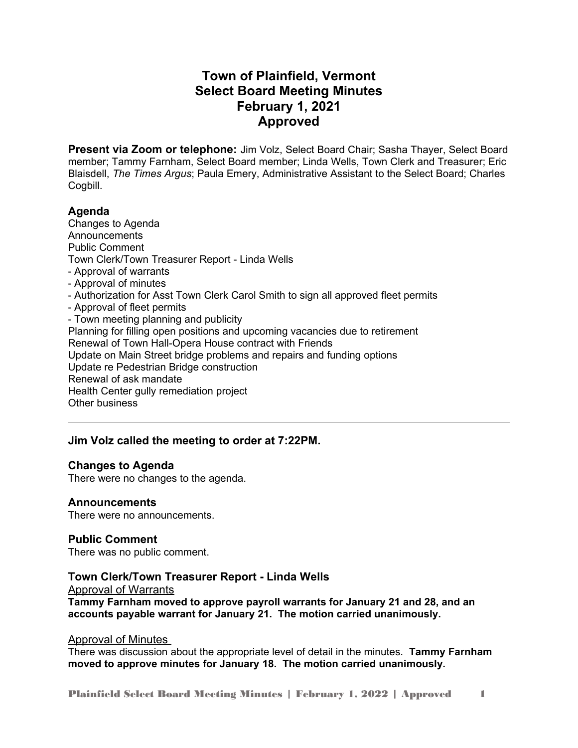# **Town of Plainfield, Vermont Select Board Meeting Minutes February 1, 2021 Approved**

**Present via Zoom or telephone:** Jim Volz, Select Board Chair; Sasha Thayer, Select Board member; Tammy Farnham, Select Board member; Linda Wells, Town Clerk and Treasurer; Eric Blaisdell, *The Times Argus*; Paula Emery, Administrative Assistant to the Select Board; Charles Cogbill.

# **Agenda**

Changes to Agenda Announcements Public Comment Town Clerk/Town Treasurer Report - Linda Wells - Approval of warrants - Approval of minutes - Authorization for Asst Town Clerk Carol Smith to sign all approved fleet permits - Approval of fleet permits - Town meeting planning and publicity Planning for filling open positions and upcoming vacancies due to retirement Renewal of Town Hall-Opera House contract with Friends Update on Main Street bridge problems and repairs and funding options Update re Pedestrian Bridge construction Renewal of ask mandate Health Center gully remediation project Other business

# **Jim Volz called the meeting to order at 7:22PM.**

# **Changes to Agenda**

There were no changes to the agenda.

# **Announcements**

There were no announcements.

# **Public Comment**

There was no public comment.

# **Town Clerk/Town Treasurer Report - Linda Wells**

#### Approval of Warrants

**Tammy Farnham moved to approve payroll warrants for January 21 and 28, and an accounts payable warrant for January 21. The motion carried unanimously.** 

# Approval of Minutes

There was discussion about the appropriate level of detail in the minutes. **Tammy Farnham moved to approve minutes for January 18. The motion carried unanimously.** 

Plainfield Select Board Meeting Minutes | February 1, 2022 | Approved 1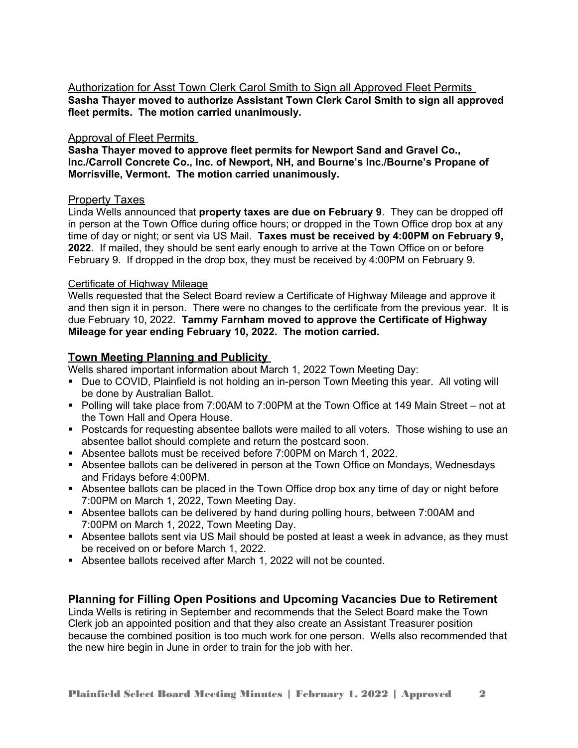Authorization for Asst Town Clerk Carol Smith to Sign all Approved Fleet Permits **Sasha Thayer moved to authorize Assistant Town Clerk Carol Smith to sign all approved fleet permits. The motion carried unanimously.** 

### Approval of Fleet Permits

**Sasha Thayer moved to approve fleet permits for Newport Sand and Gravel Co., Inc./Carroll Concrete Co., Inc. of Newport, NH, and Bourne's Inc./Bourne's Propane of Morrisville, Vermont. The motion carried unanimously.**

#### Property Taxes

Linda Wells announced that **property taxes are due on February 9**. They can be dropped off in person at the Town Office during office hours; or dropped in the Town Office drop box at any time of day or night; or sent via US Mail. **Taxes must be received by 4:00PM on February 9, 2022**. If mailed, they should be sent early enough to arrive at the Town Office on or before February 9. If dropped in the drop box, they must be received by 4:00PM on February 9.

#### Certificate of Highway Mileage

Wells requested that the Select Board review a Certificate of Highway Mileage and approve it and then sign it in person. There were no changes to the certificate from the previous year. It is due February 10, 2022. **Tammy Farnham moved to approve the Certificate of Highway Mileage for year ending February 10, 2022. The motion carried.** 

# **Town Meeting Planning and Publicity**

Wells shared important information about March 1, 2022 Town Meeting Day:

- **Due to COVID, Plainfield is not holding an in-person Town Meeting this year. All voting will** be done by Australian Ballot.
- Polling will take place from 7:00AM to 7:00PM at the Town Office at 149 Main Street not at the Town Hall and Opera House.
- Postcards for requesting absentee ballots were mailed to all voters. Those wishing to use an absentee ballot should complete and return the postcard soon.
- Absentee ballots must be received before 7:00PM on March 1, 2022.
- Absentee ballots can be delivered in person at the Town Office on Mondays, Wednesdays and Fridays before 4:00PM.
- Absentee ballots can be placed in the Town Office drop box any time of day or night before 7:00PM on March 1, 2022, Town Meeting Day.
- Absentee ballots can be delivered by hand during polling hours, between 7:00AM and 7:00PM on March 1, 2022, Town Meeting Day.
- Absentee ballots sent via US Mail should be posted at least a week in advance, as they must be received on or before March 1, 2022.
- Absentee ballots received after March 1, 2022 will not be counted.

# **Planning for Filling Open Positions and Upcoming Vacancies Due to Retirement**

Linda Wells is retiring in September and recommends that the Select Board make the Town Clerk job an appointed position and that they also create an Assistant Treasurer position because the combined position is too much work for one person. Wells also recommended that the new hire begin in June in order to train for the job with her.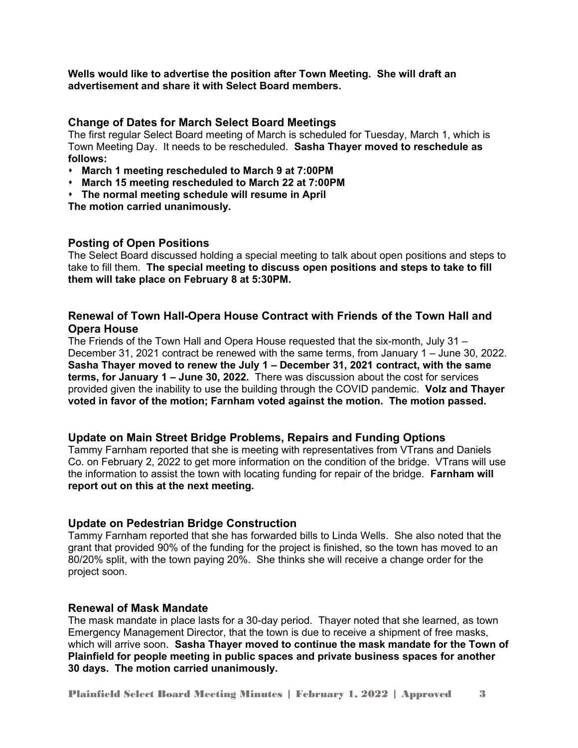**Wells would like to advertise the position after Town Meeting. She will draft an advertisement and share it with Select Board members.** 

#### **Change of Dates for March Select Board Meetings**

The first regular Select Board meeting of March is scheduled for Tuesday, March 1, which is Town Meeting Day. It needs to be rescheduled. **Sasha Thayer moved to reschedule as follows:**

- **March 1 meeting rescheduled to March 9 at 7:00PM**
- **March 15 meeting rescheduled to March 22 at 7:00PM**
- **The normal meeting schedule will resume in April**

**The motion carried unanimously.** 

# **Posting of Open Positions**

The Select Board discussed holding a special meeting to talk about open positions and steps to take to fill them. **The special meeting to discuss open positions and steps to take to fill them will take place on February 8 at 5:30PM.**

# **Renewal of Town Hall-Opera House Contract with Friends of the Town Hall and Opera House**

The Friends of the Town Hall and Opera House requested that the six-month, July 31 – December 31, 2021 contract be renewed with the same terms, from January 1 – June 30, 2022. **Sasha Thayer moved to renew the July 1 – December 31, 2021 contract, with the same terms, for January 1 – June 30, 2022.** There was discussion about the cost for services provided given the inability to use the building through the COVID pandemic. **Volz and Thayer voted in favor of the motion; Farnham voted against the motion. The motion passed.**

#### **Update on Main Street Bridge Problems, Repairs and Funding Options**

Tammy Farnham reported that she is meeting with representatives from VTrans and Daniels Co. on February 2, 2022 to get more information on the condition of the bridge. VTrans will use the information to assist the town with locating funding for repair of the bridge. **Farnham will report out on this at the next meeting.** 

# **Update on Pedestrian Bridge Construction**

Tammy Farnham reported that she has forwarded bills to Linda Wells. She also noted that the grant that provided 90% of the funding for the project is finished, so the town has moved to an 80/20% split, with the town paying 20%. She thinks she will receive a change order for the project soon.

#### **Renewal of Mask Mandate**

The mask mandate in place lasts for a 30-day period. Thayer noted that she learned, as town Emergency Management Director, that the town is due to receive a shipment of free masks, which will arrive soon. **Sasha Thayer moved to continue the mask mandate for the Town of Plainfield for people meeting in public spaces and private business spaces for another 30 days. The motion carried unanimously.**